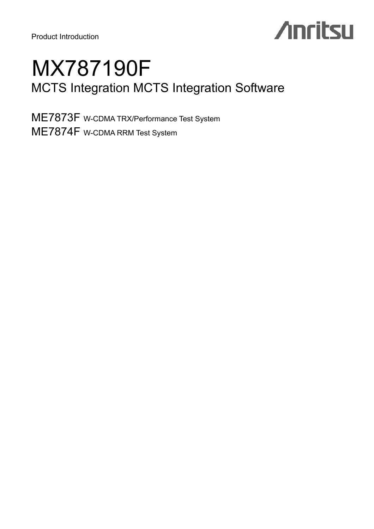Product Introduction

# **Anritsu**

## MX787190F MCTS Integration MCTS Integration Software

ME7873F W-CDMA TRX/Performance Test System ME7874F W-CDMA RRM Test System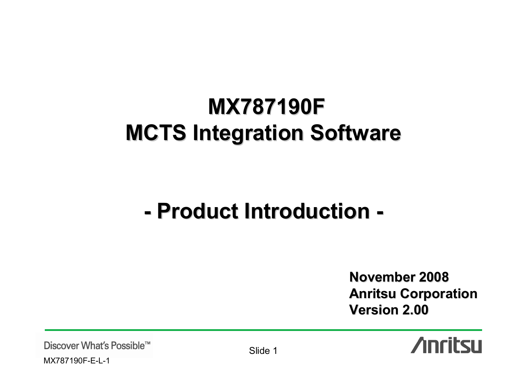# **MX787190F MX787190F MCTS Integration Software MCTS Integration Software**

### **-- Product Introduction -**

**November 2008 November 2008Anritsu Corporation Anritsu Corporation Version 2.00 Version 2.00**



Discover What's Possible™

MX787190F-E-L-1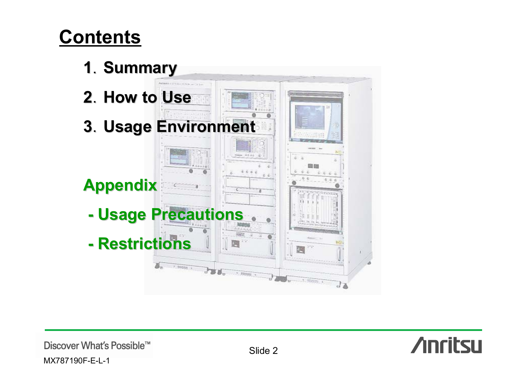# **Contents**



**Anritsu** 

Discover What's Possible™ MX787190F-E-L-1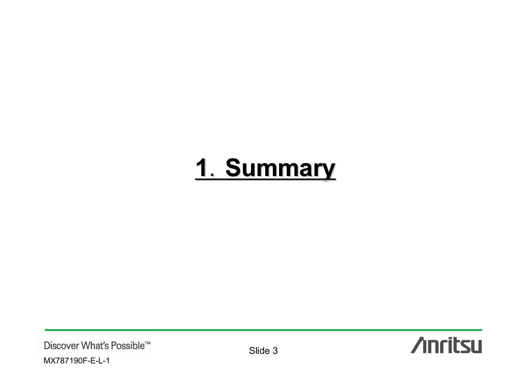# 1. Summary

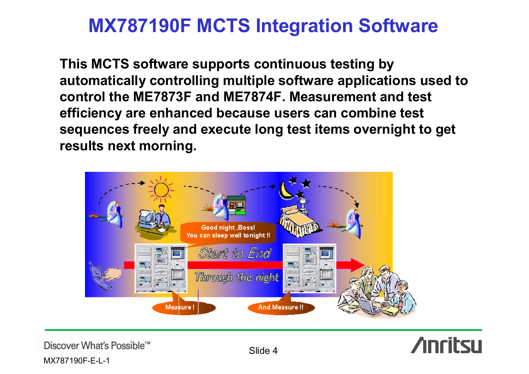**This MCTS software supports continuous testing by automatically controlling multiple software applications used to control the ME7873F and ME7874F. Measurement and test efficiency are enhanced because users can combine test sequences freely and execute long test items overnight to get results next morning.**





Discover What's Possible™

MX787190F-E-L-1

Slide 4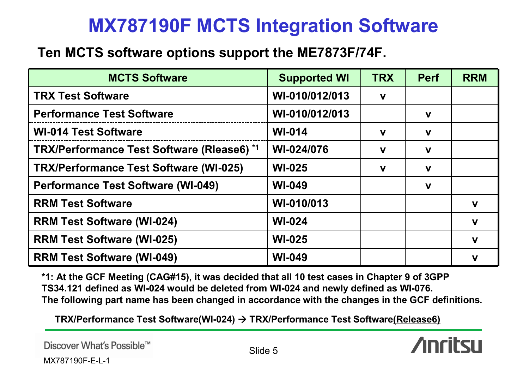### **Ten MCTS software options support the ME7873F/74F.**

| <b>MCTS Software</b>                          | <b>Supported WI</b> | <b>TRX</b>  | <b>Perf</b> | <b>RRM</b>  |
|-----------------------------------------------|---------------------|-------------|-------------|-------------|
| <b>TRX Test Software</b>                      | WI-010/012/013      | $\mathbf v$ |             |             |
| <b>Performance Test Software</b>              | WI-010/012/013      |             | $\mathbf v$ |             |
| <b>WI-014 Test Software</b>                   | <b>WI-014</b>       | $\mathbf v$ | $\mathbf v$ |             |
| TRX/Performance Test Software (Rlease6) *1    | WI-024/076          | $\mathbf v$ | $\mathbf v$ |             |
| <b>TRX/Performance Test Software (WI-025)</b> | <b>WI-025</b>       | $\mathbf v$ | $\mathbf v$ |             |
| <b>Performance Test Software (WI-049)</b>     | <b>WI-049</b>       |             | $\mathbf v$ |             |
| <b>RRM Test Software</b>                      | WI-010/013          |             |             | $\mathbf v$ |
| <b>RRM Test Software (WI-024)</b>             | <b>WI-024</b>       |             |             | $\mathbf v$ |
| <b>RRM Test Software (WI-025)</b>             | <b>WI-025</b>       |             |             | $\mathbf v$ |
| <b>RRM Test Software (WI-049)</b>             | <b>WI-049</b>       |             |             | V           |

**\*1: At the GCF Meeting (CAG#15), it was decided that all 10 test cases in Chapter 9 of 3GPP TS34.121 defined as WI-024 would be deleted from WI-024 and newly defined as WI-076. The following part name has been changed in accordance with the changes in the GCF definitions.**

**TRX/Performance Test Software(WI-024) → TRX/Performance Test Software(Release6)**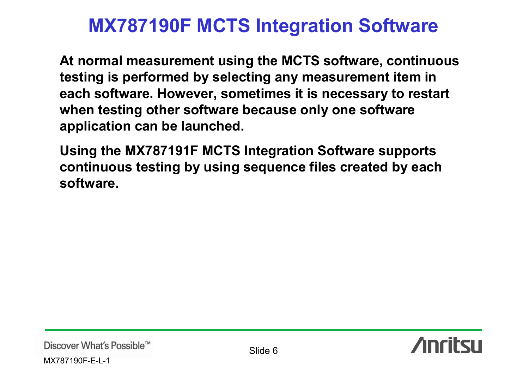**At normal measurement using the MCTS software, continuous testing is performed by selecting any measurement item in each software. However, sometimes it is necessary to restart when testing other software because only one software application can be launched.**

**Using the MX787191F MCTS Integration Software supports continuous testing by using sequence files created by each software.**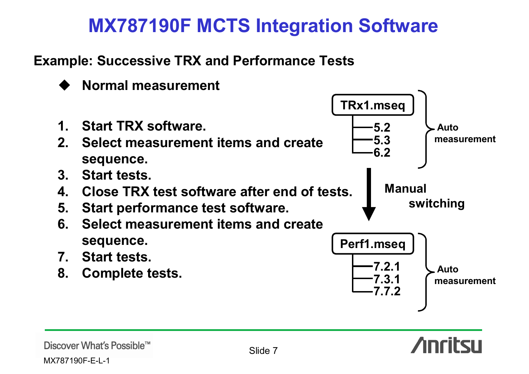**Example: Successive TRX and Performance Tests**



MX787190F-E-L-1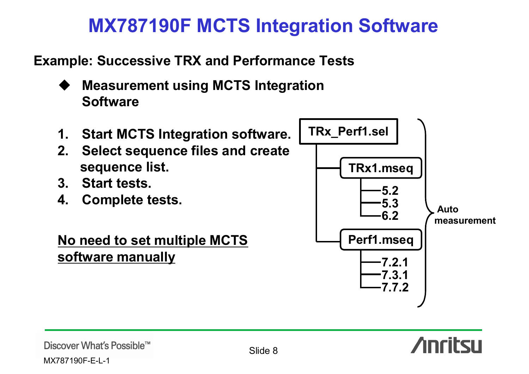**Example: Successive TRX and Performance Tests**

- **Measurement using MCTS Integration Software**
- **1. Start MCTS Integration software.**
- **2. Select sequence files and create sequence list.**
- **3. Start tests.**
- **4. Complete tests.**

**No need to set multiple MCTS software manually** 



**Anritsu** 

MX787190F-E-L-1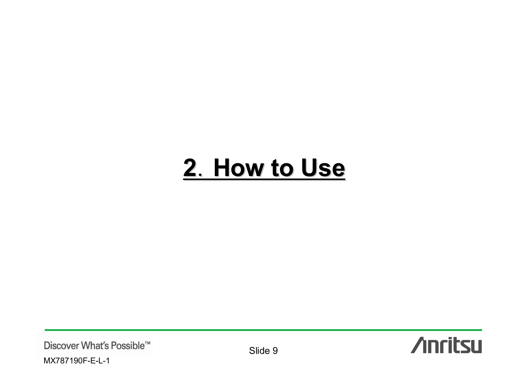# 2. How to Use

Discover What's Possible™ MX787190F-E-L-1

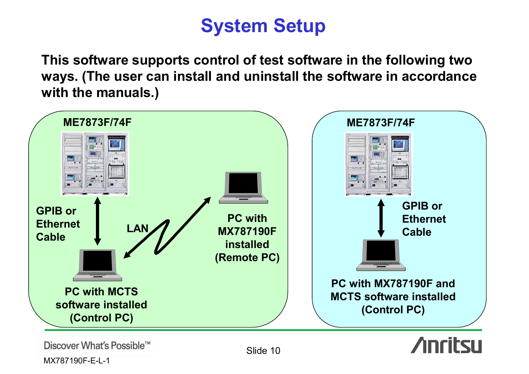# **System Setup**

**This software supports control of test software in the following two ways. (The user can install and uninstall the software in accordance with the manuals.)**



MX787190F-E-L-1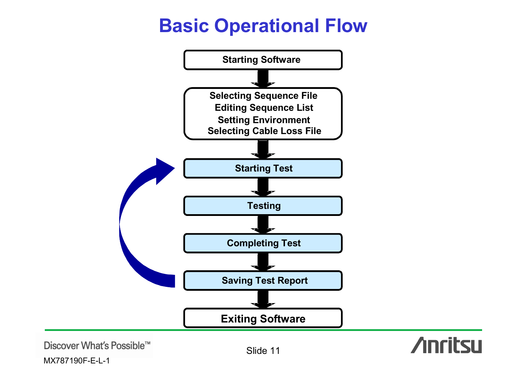# **Basic Operational Flow**



Discover What's Possible™

MX787190F-E-L-1

Slide 11

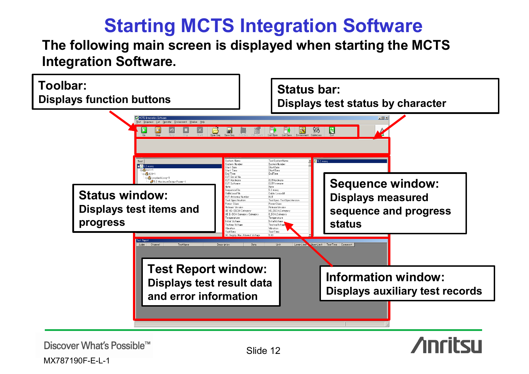# **Starting MCTS Integration Software**

**The following main screen is displayed when starting the MCTS Integration Software.**



Discover What's Possible™

MX787190F-E-L-1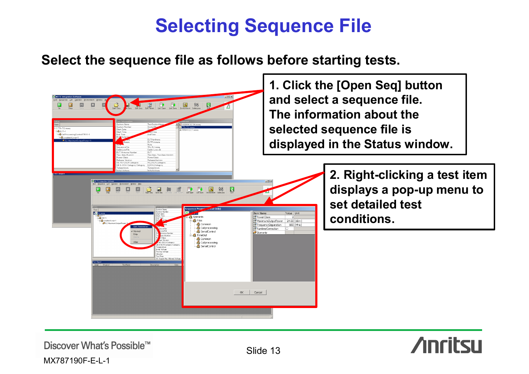# **Selecting Sequence File**

### **Select the sequence file as follows before starting tests.**





Discover What's Possible™

MX787190F-E-L-1

Slide 13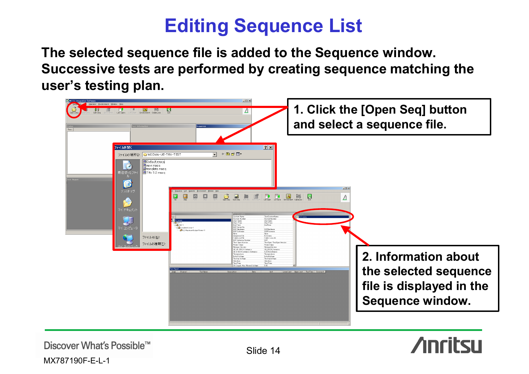## **Editing Sequence List**

**The selected sequence file is added to the Sequence window. Successive tests are performed by creating sequence matching the user's testing plan.**



Discover What's Possible™

MX787190F-E-L-1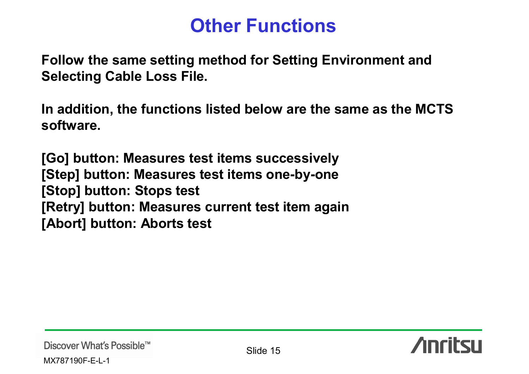## **Other Functions**

**Follow the same setting method for Setting Environment and Selecting Cable Loss File.**

**In addition, the functions listed below are the same as the MCTS software.**

**[Go] button: Measures test items successively [Step] button: Measures test items one-by-one [Stop] button: Stops test [Retry] button: Measures current test item again [Abort] button: Aborts test**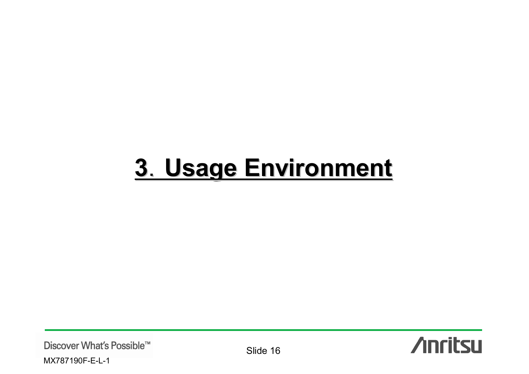# 3. Usage Environment

Discover What's Possible™ MX787190F-E-L-1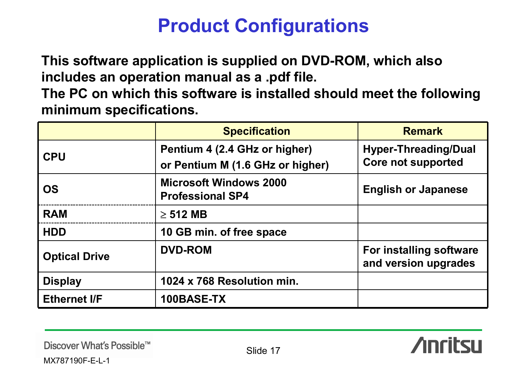# **Product Configurations**

**This software application is supplied on DVD-ROM, which also includes an operation manual as a .pdf file.**

**The PC on which this software is installed should meet the following minimum specifications.**

|                      | <b>Specification</b>                                              | <b>Remark</b>                                            |
|----------------------|-------------------------------------------------------------------|----------------------------------------------------------|
| <b>CPU</b>           | Pentium 4 (2.4 GHz or higher)<br>or Pentium M (1.6 GHz or higher) | <b>Hyper-Threading/Dual</b><br><b>Core not supported</b> |
| <b>OS</b>            | <b>Microsoft Windows 2000</b><br><b>Professional SP4</b>          | <b>English or Japanese</b>                               |
| <b>RAM</b>           | $\geq$ 512 MB                                                     |                                                          |
| <b>HDD</b>           | 10 GB min. of free space                                          |                                                          |
| <b>Optical Drive</b> | <b>DVD-ROM</b>                                                    | For installing software<br>and version upgrades          |
| <b>Display</b>       | 1024 x 768 Resolution min.                                        |                                                          |
| <b>Ethernet I/F</b>  | 100BASE-TX                                                        |                                                          |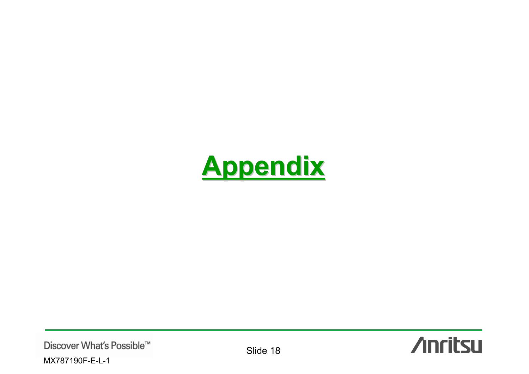

Discover What's Possible™ MX787190F-E-L-1

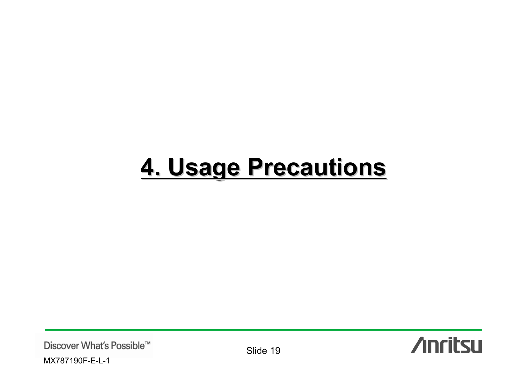# 4. Usage Precautions

Discover What's Possible™ MX787190F-E-L-1

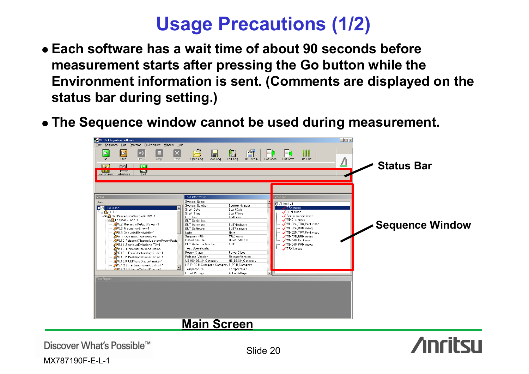## **Usage Precautions (1/2)**

- z **Each software has a wait time of about 90 seconds before measurement starts after pressing the Go button while the Environment information is sent. (Comments are displayed on the status bar during setting.)**
- z **The Sequence window cannot be used during measurement.**



Discover What's Possible™

MX787190F-E-L-1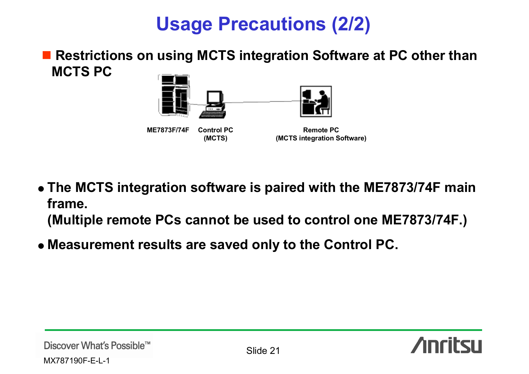# **Usage Precautions (2/2)**

■ Restrictions on using MCTS integration Software at PC other than **MCTS PC**



- z **The MCTS integration software is paired with the ME7873/74F main frame.(Multiple remote PCs cannot be used to control one ME7873/74F.)**
- z **Measurement results are saved only to the Control PC.**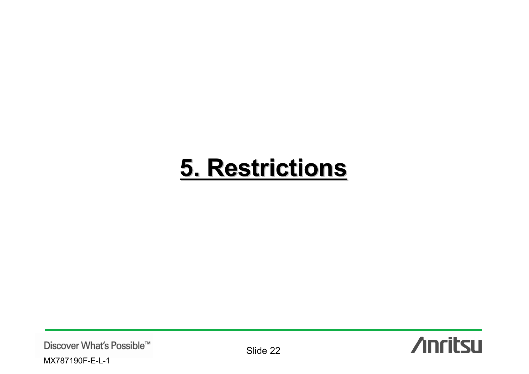# 5. Restrictions

Discover What's Possible™ MX787190F-E-L-1

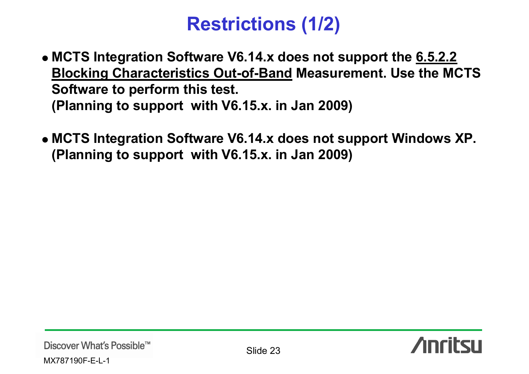# **Restrictions (1/2)**

- z **MCTS Integration Software V6.14.x does not support the 6.5.2.2 Blocking Characteristics Out-of-Band Measurement. Use the MCTS Software to perform this test. (Planning to support with V6.15.x. in Jan 2009)**
- z **MCTS Integration Software V6.14.x does not support Windows XP. (Planning to support with V6.15.x. in Jan 2009)**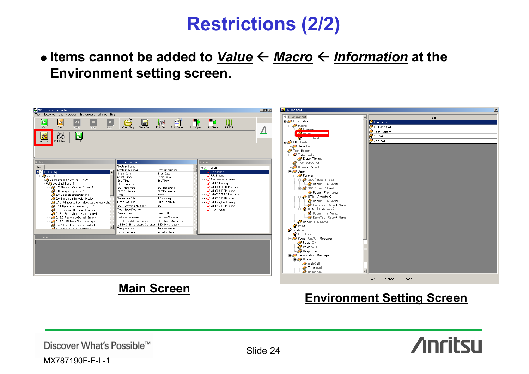# **Restrictions (2/2)**

### **• Items cannot be added to** *Value* **←** *Macro* **←** *Information* **at the Environment setting screen.**



### **Environment Setting Screen**

Discover What's Possible™

MX787190F-E-L-1

Slide 24